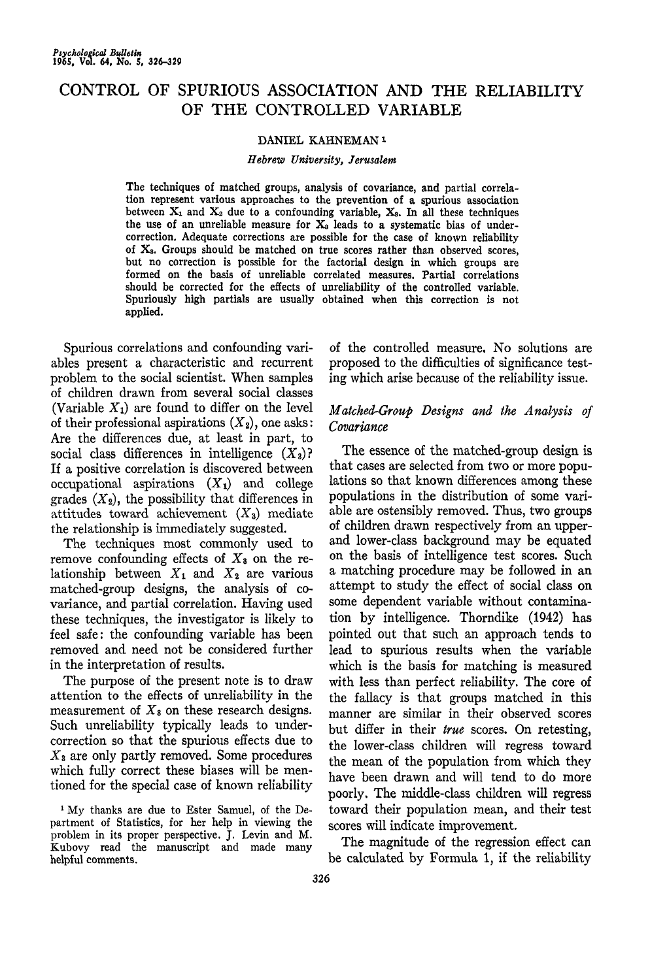# CONTROL OF SPURIOUS ASSOCIATION AND THE RELIABILITY OF THE CONTROLLED VARIABLE

### DANIEL KAHNEMAN<sup>1</sup>

#### *Hebrew University, Jerusalem*

The techniques of matched groups, analysis of covariance, and partial correlation represent various approaches to the prevention of a spurious association between  $X_1$  and  $X_2$  due to a confounding variable,  $X_3$ . In all these techniques the use of an unreliable measure for  $X_3$  leads to a systematic bias of undercorrection. Adequate corrections are possible for the case of known reliability of  $X_3$ . Groups should be matched on true scores rather than observed scores, but no correction is possible for the factorial design in which groups are formed on the basis of unreliable correlated measures. Partial correlations should be corrected for the effects of unreliability of the controlled variable. Spuriously high partials are usually obtained when this correction is not applied.

Spurious correlations and confounding variables present a characteristic and recurrent problem to the social scientist. When samples of children drawn from several social classes (Variable  $X_1$ ) are found to differ on the level of their professional aspirations  $(X_2)$ , one asks: Are the differences due, at least in part, to social class differences in intelligence  $(X_3)$ ? If a positive correlation is discovered between occupational aspirations  $(X_1)$  and college grades  $(X_2)$ , the possibility that differences in attitudes toward achievement *(X^)* mediate the relationship is immediately suggested.

The techniques most commonly used to remove confounding effects of *Xa* on the relationship between  $X_1$  and  $X_2$  are various matched-group designs, the analysis of Covariance, and partial correlation. Having used these techniques, the investigator is likely to feel safe: the confounding variable has been removed and need not be considered further in the interpretation of results.

The purpose of the present note is to draw attention to the effects of unreliability in the measurement of  $X_3$  on these research designs. Such unreliability typically leads to undercorrection so that the spurious effects due to *Xa* are only partly removed. Some procedures which fully correct these biases will be mentioned for the special case of known reliability

of the controlled measure. No solutions are proposed to the difficulties of significance testing which arise because of the reliability issue.

# *Matched-Group Designs and the Analysis of Covariance*

The essence of the matched-group design is that cases are selected from two or more populations so that known differences among these populations in the distribution of some variable are ostensibly removed. Thus, two groups of children drawn respectively from an upperand lower-class background may be equated on the basis of intelligence test scores. Such a matching procedure may be followed in an attempt to study the effect of social class on some dependent variable without contamination by intelligence. Thorndike (1942) has pointed out that such an approach tends to lead to spurious results when the variable which is the basis for matching is measured with less than perfect reliability. The core of the fallacy is that groups matched in this manner are similar in their observed scores but differ in their *true* scores. On retesting, the lower-class children will regress toward the mean of the population from which they have been drawn and will tend to do more poorly. The middle-class children will regress toward their population mean, and their test scores will indicate improvement.

The magnitude of the regression effect can be calculated by Formula 1, if the reliability

<sup>&</sup>lt;sup>1</sup> My thanks are due to Ester Samuel, of the Department of Statistics, for her help in viewing the problem in its proper perspective. J. Levin and M. Kubovy read the manuscript and made many helpful comments.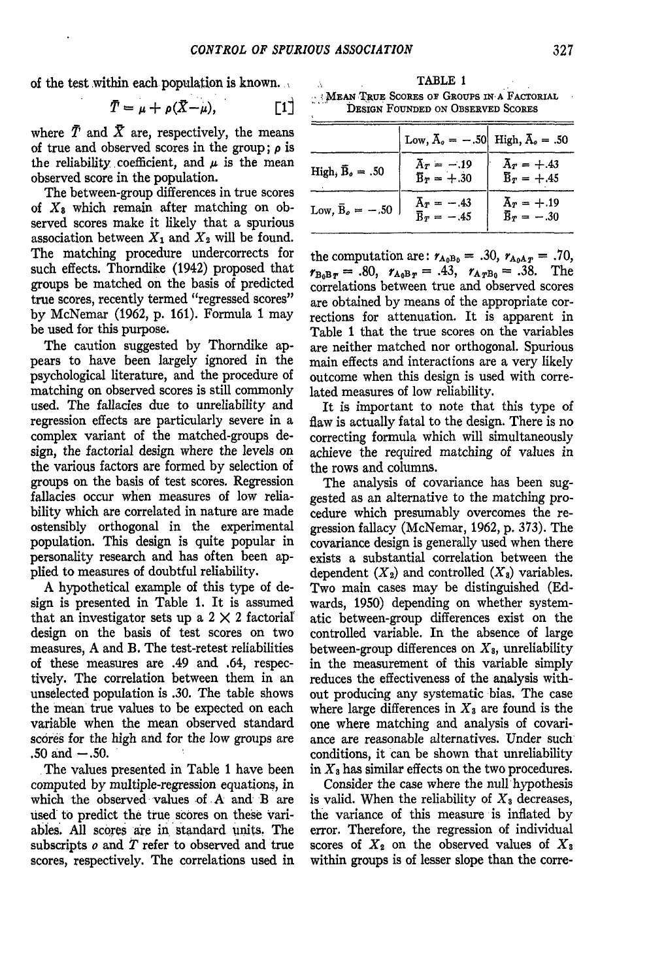of the test within each population is known.

$$
\bar{T} = \mu + \rho(\bar{X} - \mu), \qquad [1]
$$

where  $\bar{T}$  and  $\bar{X}$  are, respectively, the means of true and observed scores in the group ; *p* is the reliability coefficient, and  $\mu$  is the mean observed score in the population.

The between-group differences in true scores of *Xt* which remain after matching on observed scores make it likely that a spurious association between  $X_1$  and  $X_2$  will be found. The matching procedure undercorrects for such effects. Thorndike (1942) proposed that groups be matched on the basis of predicted true scores, recently termed "regressed scores" by McNemar (1962, p. 161). Formula 1 may be used for this purpose.

The caution suggested by Thorndike appears to have been largely ignored in the psychological literature, and the procedure of matching on observed scores is still commonly used. The fallacies due to unreliability and regression effects are particularly severe in a complex variant of the matched-groups design, the factorial design where the levels on the various factors are formed by selection of groups on the basis of test scores. Regression fallacies occur when measures of low reliability which are correlated in nature are made ostensibly orthogonal in the experimental population. This design is quite popular in personality research and has often been applied to measures of doubtful reliability.

A hypothetical example of this type of design is presented in Table 1. It is assumed that an investigator sets up a  $2 \times 2$  factorial design on the basis of test scores on two measures, A and B. The test-retest reliabilities of these measures are .49 and .64, respectively. The correlation between them in an unselected population is .30. The table shows the mean true values to be expected on each variable when the mean observed standard scores for the high and for the low groups are  $.50$  and  $-.50$ .

The values presented in Table 1 have been computed by multiple-regression equations, in which the observed values of A and B are used to predict the true scores on these variables. All scores are in, standard units. The subscripts *o* and *t* refer to observed and true scores, respectively. The correlations used in

TABLE 1 <sup>v</sup>! JMEAN TRUE SCORES OF GROUPS IN A FACTORIAL DESIGN FOUNDED ON OBSERVED SCORES

|                                    | Low, $\bar{A}_o = -.50$ High, $\bar{A}_o = .50$ |                                           |
|------------------------------------|-------------------------------------------------|-------------------------------------------|
| High, $\bar{\mathbf{B}}_{o} = .50$ | $\bar{A}_T = -.19$<br>$\bar{\text{B}}_T = +.30$ | $\bar{A}_T = +0.43$<br>$B_r = +0.45$      |
| Low, $\bar{B}_e = -.50$            | $Ar = -.43$<br>$\bar{\text{B}}_T = -.45$        | $A_r = +.19$<br>$\bar{\text{B}}_T = -.30$ |

the computation are:  $r_{A_0B_0} = .30$ ,  $r_{A_0A_T} = .70$ ,  $r_{B_0B_T} = .80$ ,  $r_{A_0B_T} = .43$ ,  $r_{A_TB_0} = .38$ . The correlations between true and observed scores are obtained by means of the appropriate corrections for attenuation. It is apparent in Table 1 that the true scores on the variables are neither matched nor orthogonal. Spurious main effects and interactions are a very likely outcome when this design is used with correlated measures of low reliability.

It is important to note that this type of flaw is actually fatal to the design. There is no correcting formula which will simultaneously achieve the required matching of values in the rows and columns.

The analysis of covariance has been suggested as an alternative to the matching procedure which presumably overcomes the regression fallacy (McNemar, 1962, p. 373). The covariance design is generally used when there exists a substantial correlation between the dependent  $(X_2)$  and controlled  $(X_3)$  variables. Two main cases may be distinguished (Edwards, 1950) depending on whether systematic between-group differences exist on the controlled variable. In the absence of large between-group differences on  $X_3$ , unreliability in the measurement of this variable simply reduces the effectiveness of the analysis without producing any systematic bias. The case where large differences in  $X_3$  are found is the one where matching and analysis of covariance are reasonable alternatives. Under such conditions, it can be shown that unreliability in *Xa* has similar effects on the two procedures.

Consider the case where the null hypothesis is valid. When the reliability of  $X_3$  decreases, the variance of this measure is inflated by error. Therefore, the regression of individual scores of  $X_2$  on the observed values of  $X_3$ within groups is of lesser slope than the corre-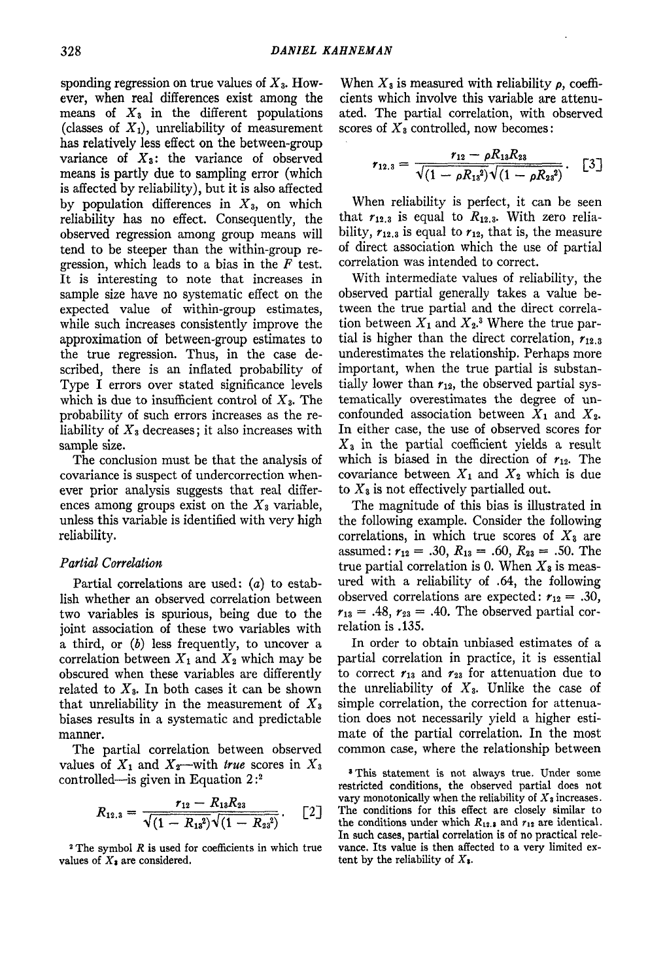spending regression on true values of *X3.* However, when real differences exist among the means of  $X_3$  in the different populations (classes of  $X_1$ ), unreliability of measurement has relatively less effect on the between-group variance of *X\$:* the variance of observed means is partly due to sampling error (which is affected by reliability), but it is also affected by population differences in *X3,* on which reliability has no effect. Consequently, the observed regression among group means will tend to be steeper than the within-group regression, which leads to a bias in the *F* test. It is interesting to note that increases in sample size have no systematic effect on the expected value of within-group estimates, while such increases consistently improve the approximation of between-group estimates to the true regression. Thus, in the case described, there is an inflated probability of Type I errors over stated significance levels which is due to insufficient control of *X3.* The probability of such errors increases as the reliability of *X3* decreases; it also increases with sample size.

The conclusion must be that the analysis of covariance is suspect of undercorrection whenever prior analysis suggests that real differences among groups exist on the *X3* variable, unless this variable is identified with very high reliability.

## *Partial Correlation*

Partial correlations are used: (a) to establish whether an observed correlation between two variables is spurious, being due to the joint association of these two variables with a third, or  $(b)$  less frequently, to uncover a correlation between  $X_1$  and  $X_2$  which may be obscured when these variables are differently related to *X3.* In both cases it can be shown that unreliability in the measurement of *X<sup>3</sup>* biases results in a systematic and predictable manner.

The partial correlation between observed values of  $X_1$  and  $X_2$ —with *true* scores in  $X_3$ controlled—is given in Equation 2:<sup>2</sup>

$$
R_{12.3} = \frac{r_{12} - R_{13}R_{23}}{\sqrt{(1 - R_{13}^2)}\sqrt{(1 - R_{23}^2)}}. \quad [2]
$$

2 The symbol *R* is used for coefficients in which true values of *Xi* are considered.

When  $X_3$  is measured with reliability  $\rho$ , coefficients which involve this variable are attenuated. The partial correlation, with observed scores of *Xs* controlled, now becomes:

$$
r_{12.3} = \frac{r_{12} - \rho R_{13} R_{23}}{\sqrt{(1 - \rho R_{13}^2)} \sqrt{(1 - \rho R_{23}^2)}}. \quad [3]
$$

When reliability is perfect, it can be seen that  $r_{12,3}$  is equal to  $R_{12,3}$ . With zero reliability,  $r_{12,3}$  is equal to  $r_{12}$ , that is, the measure of direct association which the use of partial correlation was intended to correct.

With intermediate values of reliability, the observed partial generally takes a value between the true partial and the direct correlation between  $X_1$  and  $X_2$ <sup>3</sup> Where the true partial is higher than the direct correlation,  $r_{12.3}$ underestimates the relationship. Perhaps more important, when the true partial is substantially lower than  $r_{12}$ , the observed partial systematically overestimates the degree of unconfounded association between *Xi* and *X%.* In either case, the use of observed scores for *X3* in the partial coefficient yields a result which is biased in the direction of  $r_{12}$ . The covariance between *Xi* and *Xz* which is due to *Xs* is not effectively partialled out.

The magnitude of this bias is illustrated in the following example. Consider the following correlations, in which true scores of  $X_3$  are assumed:  $r_{12} = .30, R_{13} = .60, R_{23} = .50$ . The true partial correlation is 0. When  $X_3$  is measured with a reliability of .64, the following observed correlations are expected:  $r_{12} = .30$ ,  $r_{13} = .48$ ,  $r_{23} = .40$ . The observed partial correlation is .135.

In order to obtain unbiased estimates of a partial correlation in practice, it is essential to correct  $r_{13}$  and  $r_{23}$  for attenuation due to the unreliability of *X3.* Unlike the case of simple correlation, the correction for attenuation does not necessarily yield a higher estimate of the partial correlation. In the most common case, where the relationship between

<sup>8</sup> This statement is not always true. Under some restricted conditions, the observed partial does not vary monotonically when the reliability of  $X_3$  increases. The conditions for this effect are closely similar to the conditions under which  $R_{12.3}$  and  $r_{12}$  are identical. In such cases, partial correlation is of no practical relevance. Its value is then affected to a very limited extent by the reliability of *X\.*